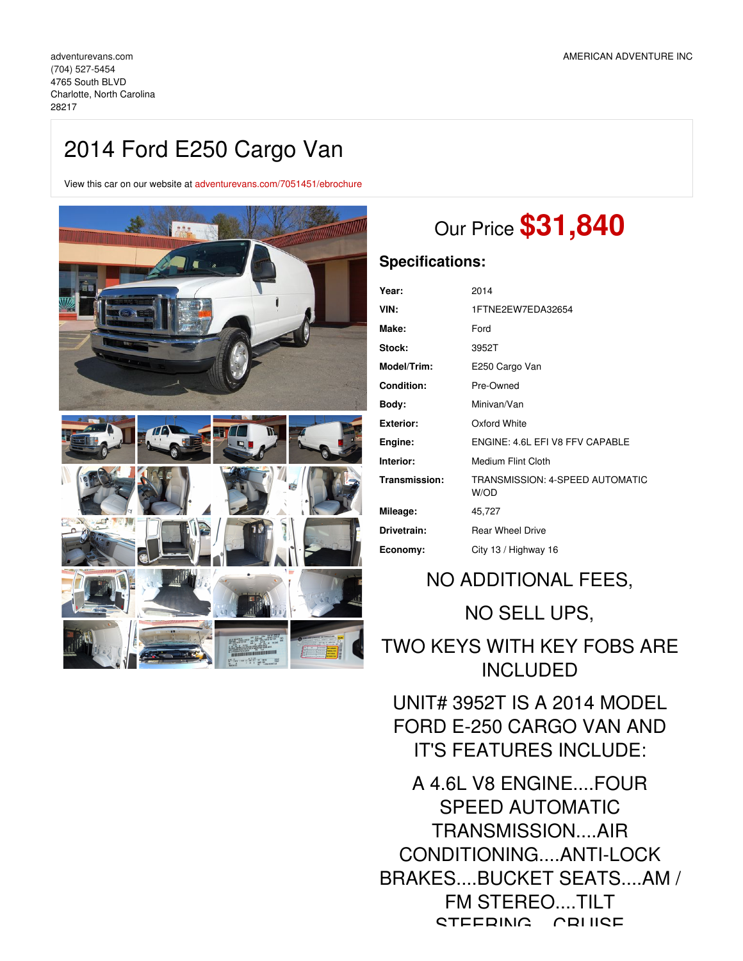## 2014 Ford E250 Cargo Van

View this car on our website at [adventurevans.com/7051451/ebrochure](https://adventurevans.com/vehicle/7051451/2014-ford-e250-cargo-van-charlotte-north-carolina-28217/7051451/ebrochure)



# Our Price **\$31,840**

### **Specifications:**

| Year:            | 2014                                    |
|------------------|-----------------------------------------|
| VIN:             | 1FTNE2EW7EDA32654                       |
| Make:            | Ford                                    |
| Stock:           | 3952T                                   |
| Model/Trim:      | E250 Cargo Van                          |
| Condition:       | Pre-Owned                               |
| Body:            | Minivan/Van                             |
| <b>Exterior:</b> | Oxford White                            |
| Engine:          | FNGINE: 4.6L FFLV8 FFV CAPABLE          |
| Interior:        | Medium Flint Cloth                      |
| Transmission:    | TRANSMISSION: 4-SPEED AUTOMATIC<br>W/OD |
| Mileage:         | 45,727                                  |
| Drivetrain:      | <b>Rear Wheel Drive</b>                 |
| Economy:         | City 13 / Highway 16                    |

## NO ADDITIONAL FEES, NO SELL UPS,

TWO KEYS WITH KEY FOBS ARE INCLUDED

UNIT# 3952T IS A 2014 MODEL FORD E-250 CARGO VAN AND IT'S FEATURES INCLUDE:

A 4.6L V8 ENGINE....FOUR SPEED AUTOMATIC TRANSMISSION....AIR CONDITIONING....ANTI-LOCK BRAKES....BUCKET SEATS....AM / FM STEREO....TILT CTEEDING CDILICE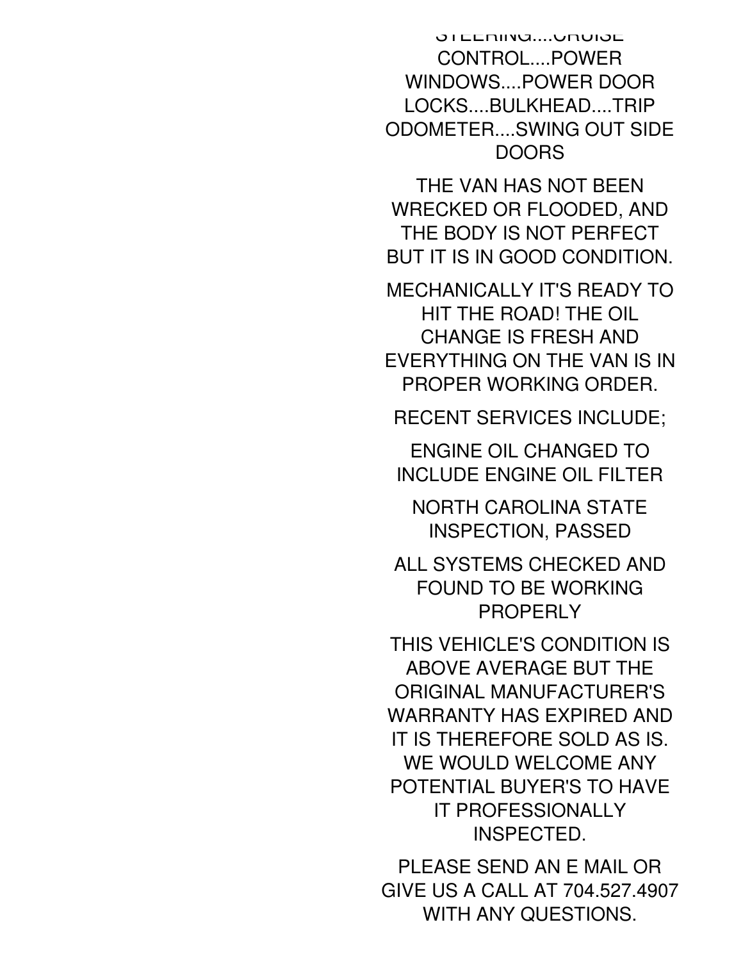STEERING....CRUISE CONTROL....POWER WINDOWS....POWER DOOR LOCKS....BULKHEAD....TRIP ODOMETER....SWING OUT SIDE DOORS

THE VAN HAS NOT BEEN WRECKED OR FLOODED, AND THE BODY IS NOT PERFECT BUT IT IS IN GOOD CONDITION.

MECHANICALLY IT'S READY TO HIT THE ROAD! THE OIL CHANGE IS FRESH AND EVERYTHING ON THE VAN IS IN PROPER WORKING ORDER.

RECENT SERVICES INCLUDE;

ENGINE OIL CHANGED TO INCLUDE ENGINE OIL FILTER

NORTH CAROLINA STATE INSPECTION, PASSED

ALL SYSTEMS CHECKED AND FOUND TO BE WORKING PROPERLY

THIS VEHICLE'S CONDITION IS ABOVE AVERAGE BUT THE ORIGINAL MANUFACTURER'S WARRANTY HAS EXPIRED AND IT IS THEREFORE SOLD AS IS. WE WOULD WELCOME ANY POTENTIAL BUYER'S TO HAVE IT PROFESSIONALLY INSPECTED.

PLEASE SEND AN E MAIL OR GIVE US A CALL AT 704.527.4907 WITH ANY QUESTIONS.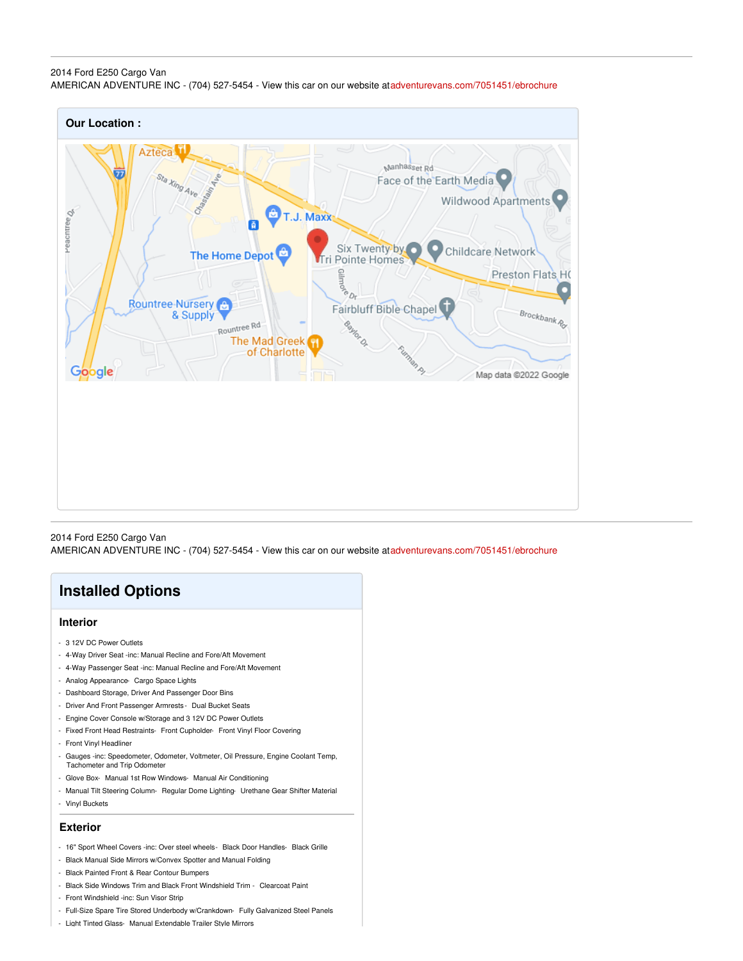#### 2014 Ford E250 Cargo Van AMERICAN ADVENTURE INC - (704) 527-5454 - View this car on our website at[adventurevans.com/7051451/ebrochure](https://adventurevans.com/vehicle/7051451/2014-ford-e250-cargo-van-charlotte-north-carolina-28217/7051451/ebrochure)



2014 Ford E250 Cargo Van AMERICAN ADVENTURE INC - (704) 527-5454 - View this car on our website at[adventurevans.com/7051451/ebrochure](https://adventurevans.com/vehicle/7051451/2014-ford-e250-cargo-van-charlotte-north-carolina-28217/7051451/ebrochure)

## **Installed Options**

#### **Interior**

- 3 12V DC Power Outlets
- 4-Way Driver Seat -inc: Manual Recline and Fore/Aft Movement
- 4-Way Passenger Seat -inc: Manual Recline and Fore/Aft Movement
- Analog Appearance- Cargo Space Lights
- Dashboard Storage, Driver And Passenger Door Bins
- Driver And Front Passenger Armrests Dual Bucket Seats
- Engine Cover Console w/Storage and 3 12V DC Power Outlets
- Fixed Front Head Restraints- Front Cupholder- Front Vinyl Floor Covering
- Front Vinyl Headliner
- Gauges -inc: Speedometer, Odometer, Voltmeter, Oil Pressure, Engine Coolant Temp, Tachometer and Trip Odometer
- Glove Box- Manual 1st Row Windows- Manual Air Conditioning
- Manual Tilt Steering Column- Regular Dome Lighting- Urethane Gear Shifter Material
- Vinyl Buckets

#### **Exterior**

- 16" Sport Wheel Covers -inc: Over steel wheels- Black Door Handles- Black Grille
- Black Manual Side Mirrors w/Convex Spotter and Manual Folding
- Black Painted Front & Rear Contour Bumpers
- Black Side Windows Trim and Black Front Windshield Trim Clearcoat Paint
- Front Windshield -inc: Sun Visor Strip
- Full-Size Spare Tire Stored Underbody w/Crankdown- Fully Galvanized Steel Panels
- Light Tinted Glass- Manual Extendable Trailer Style Mirrors